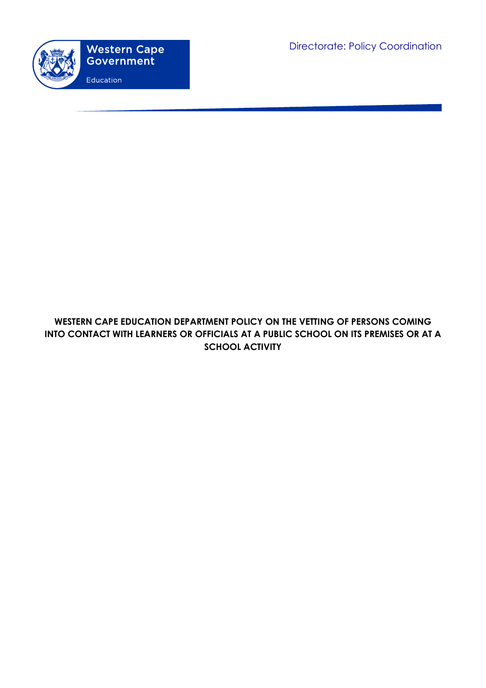

# **WESTERN CAPE EDUCATION DEPARTMENT POLICY ON THE VETTING OF PERSONS COMING INTO CONTACT WITH LEARNERS OR OFFICIALS AT A PUBLIC SCHOOL ON ITS PREMISES OR AT A SCHOOL ACTIVITY**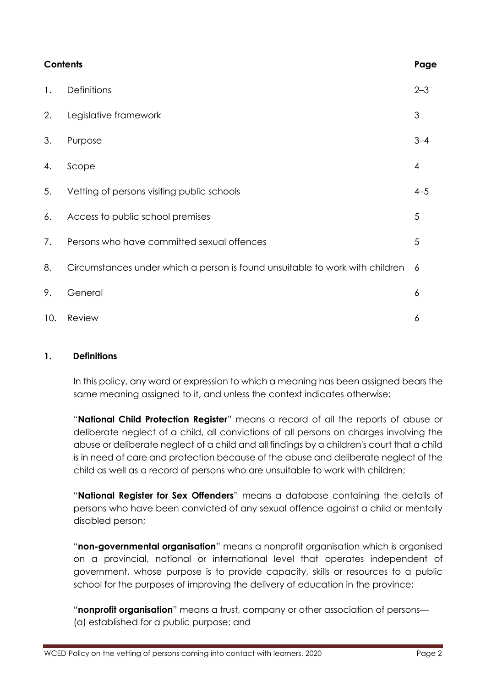| <b>Contents</b> |                                                                              | Page                     |
|-----------------|------------------------------------------------------------------------------|--------------------------|
| 1.              | Definitions                                                                  | $2 - 3$                  |
| 2.              | Legislative framework                                                        | 3                        |
| 3.              | Purpose                                                                      | $3 - 4$                  |
| 4.              | Scope                                                                        | $\overline{\mathcal{A}}$ |
| 5.              | Vetting of persons visiting public schools                                   | $4 - 5$                  |
| 6.              | Access to public school premises                                             | 5                        |
| 7.              | Persons who have committed sexual offences                                   | 5                        |
| 8.              | Circumstances under which a person is found unsuitable to work with children | 6                        |
| 9.              | General                                                                      | 6                        |
| 10.             | Review                                                                       | 6                        |

#### **1. Definitions**

In this policy, any word or expression to which a meaning has been assigned bears the same meaning assigned to it, and unless the context indicates otherwise:

"**National Child Protection Register**" means a record of all the reports of abuse or deliberate neglect of a child, all convictions of all persons on charges involving the abuse or deliberate neglect of a child and all findings by a children's court that a child is in need of care and protection because of the abuse and deliberate neglect of the child as well as a record of persons who are unsuitable to work with children;

"**National Register for Sex Offenders**" means a database containing the details of persons who have been convicted of any sexual offence against a child or mentally disabled person;

"**non-governmental organisation**" means a nonprofit organisation which is organised on a provincial, national or international level that operates independent of government, whose purpose is to provide capacity, skills or resources to a public school for the purposes of improving the delivery of education in the province;

"**nonprofit organisation**" means a trust, company or other association of persons— (a) established for a public purpose; and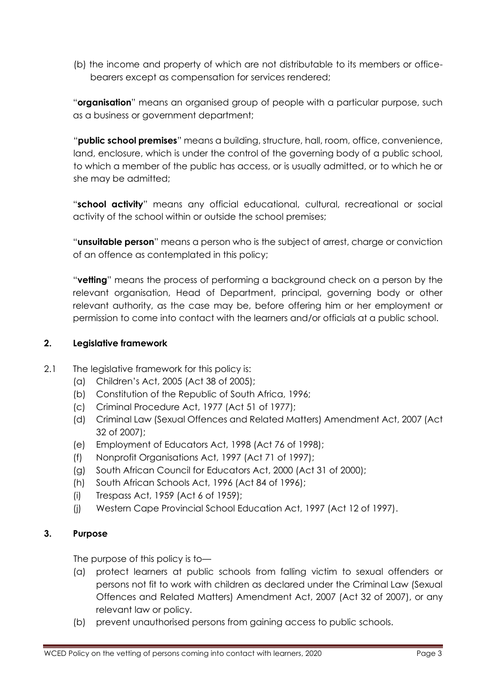(b) the income and property of which are not distributable to its members or officebearers except as compensation for services rendered;

"**organisation**" means an organised group of people with a particular purpose, such as a business or government department;

"**public school premises**" means a building, structure, hall, room, office, convenience, land, enclosure, which is under the control of the governing body of a public school, to which a member of the public has access, or is usually admitted, or to which he or she may be admitted;

"**school activity**" means any official educational, cultural, recreational or social activity of the school within or outside the school premises;

"**unsuitable person**" means a person who is the subject of arrest, charge or conviction of an offence as contemplated in this policy;

"**vetting**" means the process of performing a background check on a person by the relevant organisation, Head of Department, principal, governing body or other relevant authority, as the case may be, before offering him or her employment or permission to come into contact with the learners and/or officials at a public school.

#### **2. Legislative framework**

- 2.1 The leaislative framework for this policy is:
	- (a) Children's Act, 2005 (Act 38 of 2005);
	- (b) Constitution of the Republic of South Africa, 1996;
	- (c) Criminal Procedure Act, 1977 (Act 51 of 1977);
	- (d) Criminal Law (Sexual Offences and Related Matters) Amendment Act, 2007 (Act 32 of 2007);
	- (e) Employment of Educators Act, 1998 (Act 76 of 1998);
	- (f) Nonprofit Organisations Act, 1997 (Act 71 of 1997);
	- (g) South African Council for Educators Act, 2000 (Act 31 of 2000);
	- (h) South African Schools Act, 1996 (Act 84 of 1996);
	- (i) Trespass Act, 1959 (Act 6 of 1959);
	- (j) Western Cape Provincial School Education Act, 1997 (Act 12 of 1997).

#### **3. Purpose**

The purpose of this policy is to—

- (a) protect learners at public schools from falling victim to sexual offenders or persons not fit to work with children as declared under the Criminal Law (Sexual Offences and Related Matters) Amendment Act, 2007 (Act 32 of 2007), or any relevant law or policy.
- (b) prevent unauthorised persons from gaining access to public schools.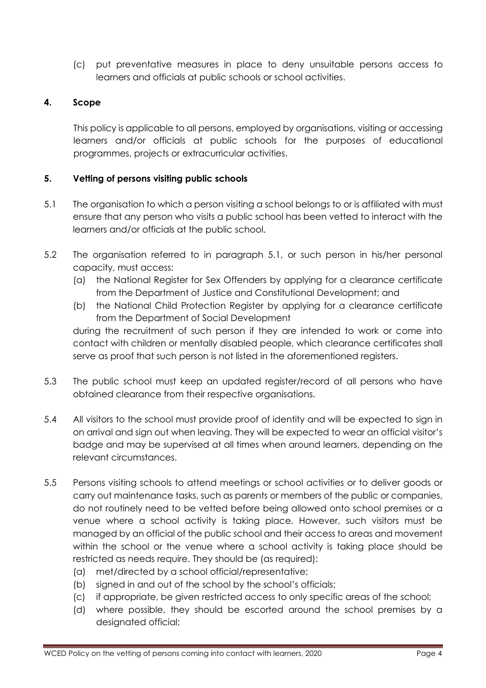(c) put preventative measures in place to deny unsuitable persons access to learners and officials at public schools or school activities.

## **4. Scope**

This policy is applicable to all persons, employed by organisations, visiting or accessing learners and/or officials at public schools for the purposes of educational programmes, projects or extracurricular activities.

#### **5. Vetting of persons visiting public schools**

- 5.1 The organisation to which a person visiting a school belongs to or is affiliated with must ensure that any person who visits a public school has been vetted to interact with the learners and/or officials at the public school.
- 5.2 The organisation referred to in paragraph 5.1, or such person in his/her personal capacity, must access:
	- (a) the National Register for Sex Offenders by applying for a clearance certificate from the Department of Justice and Constitutional Development; and
	- (b) the National Child Protection Register by applying for a clearance certificate from the Department of Social Development

during the recruitment of such person if they are intended to work or come into contact with children or mentally disabled people, which clearance certificates shall serve as proof that such person is not listed in the aforementioned registers.

- 5.3 The public school must keep an updated register/record of all persons who have obtained clearance from their respective organisations.
- 5.4 All visitors to the school must provide proof of identity and will be expected to sign in on arrival and sign out when leaving. They will be expected to wear an official visitor's badge and may be supervised at all times when around learners, depending on the relevant circumstances.
- 5.5 Persons visiting schools to attend meetings or school activities or to deliver goods or carry out maintenance tasks, such as parents or members of the public or companies, do not routinely need to be vetted before being allowed onto school premises or a venue where a school activity is taking place. However, such visitors must be managed by an official of the public school and their access to areas and movement within the school or the venue where a school activity is taking place should be restricted as needs require. They should be (as required):
	- (a) met/directed by a school official/representative;
	- (b) signed in and out of the school by the school's officials;
	- (c) if appropriate, be given restricted access to only specific areas of the school;
	- (d) where possible, they should be escorted around the school premises by a designated official;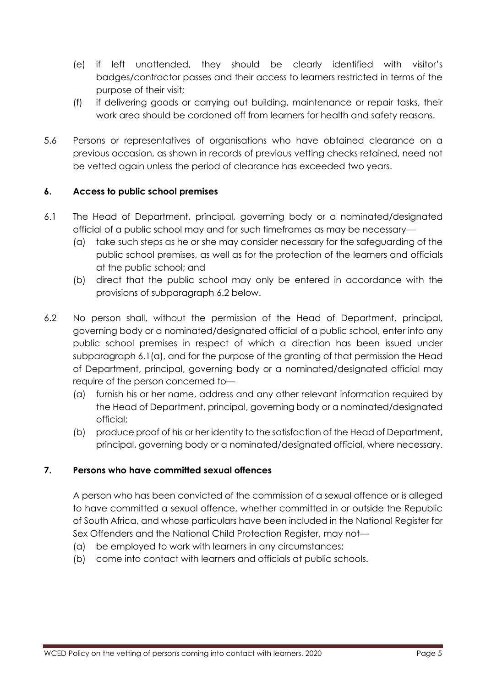- (e) if left unattended, they should be clearly identified with visitor's badges/contractor passes and their access to learners restricted in terms of the purpose of their visit;
- (f) if delivering goods or carrying out building, maintenance or repair tasks, their work area should be cordoned off from learners for health and safety reasons.
- 5.6 Persons or representatives of organisations who have obtained clearance on a previous occasion, as shown in records of previous vetting checks retained, need not be vetted again unless the period of clearance has exceeded two years.

## **6. Access to public school premises**

- 6.1 The Head of Department, principal, governing body or a nominated/designated official of a public school may and for such timeframes as may be necessary—
	- (a) take such steps as he or she may consider necessary for the safeguarding of the public school premises, as well as for the protection of the learners and officials at the public school; and
	- (b) direct that the public school may only be entered in accordance with the provisions of subparagraph 6.2 below.
- 6.2 No person shall, without the permission of the Head of Department, principal, governing body or a nominated/designated official of a public school, enter into any public school premises in respect of which a direction has been issued under subparagraph 6.1(a), and for the purpose of the granting of that permission the Head of Department, principal, governing body or a nominated/designated official may require of the person concerned to—
	- (a) furnish his or her name, address and any other relevant information required by the Head of Department, principal, governing body or a nominated/designated official;
	- (b) produce proof of his or her identity to the satisfaction of the Head of Department, principal, governing body or a nominated/designated official, where necessary.

## **7. Persons who have committed sexual offences**

A person who has been convicted of the commission of a sexual offence or is alleged to have committed a sexual offence, whether committed in or outside the Republic of South Africa, and whose particulars have been included in the National Register for Sex Offenders and the National Child Protection Register, may not—

- (a) be employed to work with learners in any circumstances;
- (b) come into contact with learners and officials at public schools.